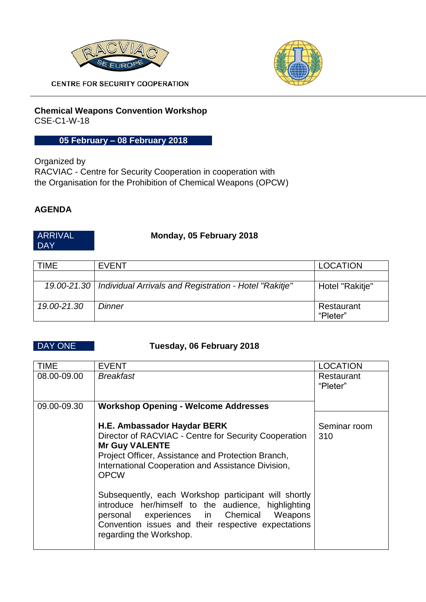



**CENTRE FOR SECURITY COOPERATION** 

### **Chemical Weapons Convention Workshop**  CSE-C1-W-18

## **05 February – 08 February 2018**

Organized by RACVIAC - Centre for Security Cooperation in cooperation with the Organisation for the Prohibition of Chemical Weapons (OPCW)

## **AGENDA**

### ARRIVAL DAY

## **Monday, 05 February 2018**

| <b>TIME</b> | <b>EVENT</b>                                                         | <b>LOCATION</b>        |
|-------------|----------------------------------------------------------------------|------------------------|
|             |                                                                      |                        |
|             | 19.00-21.30   Individual Arrivals and Registration - Hotel "Rakitje" | Hotel "Rakitje"        |
| 19.00-21.30 | <b>Dinner</b>                                                        | Restaurant<br>"Pleter" |

### DAY ONE **Tuesday, 06 February 2018**

| <b>TIME</b> | <b>EVENT</b>                                                                                                               | <b>LOCATION</b>        |
|-------------|----------------------------------------------------------------------------------------------------------------------------|------------------------|
| 08.00-09.00 | <b>Breakfast</b>                                                                                                           | Restaurant<br>"Pleter" |
|             |                                                                                                                            |                        |
| 09.00-09.30 | <b>Workshop Opening - Welcome Addresses</b>                                                                                |                        |
|             |                                                                                                                            |                        |
|             | H.E. Ambassador Haydar BERK                                                                                                | Seminar room           |
|             | Director of RACVIAC - Centre for Security Cooperation                                                                      | 310                    |
|             | <b>Mr Guy VALENTE</b>                                                                                                      |                        |
|             | Project Officer, Assistance and Protection Branch,<br>International Cooperation and Assistance Division,<br><b>OPCW</b>    |                        |
|             | Subsequently, each Workshop participant will shortly<br>introduce her/himself to the audience, highlighting                |                        |
|             | personal experiences in Chemical Weapons<br>Convention issues and their respective expectations<br>regarding the Workshop. |                        |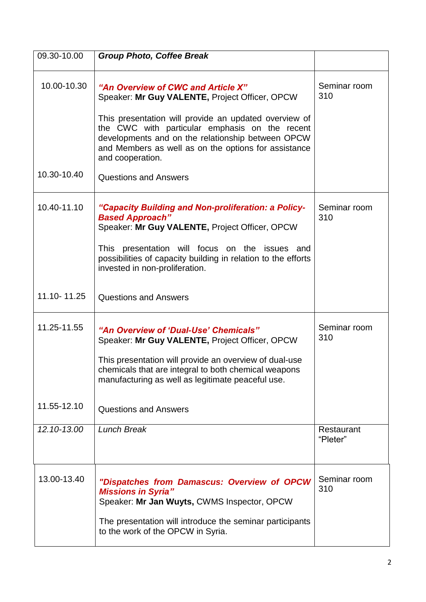| 09.30-10.00                | <b>Group Photo, Coffee Break</b>                                                                                                                                                                                                                                                                                                 |                     |
|----------------------------|----------------------------------------------------------------------------------------------------------------------------------------------------------------------------------------------------------------------------------------------------------------------------------------------------------------------------------|---------------------|
| 10.00-10.30                | "An Overview of CWC and Article X"<br>Speaker: Mr Guy VALENTE, Project Officer, OPCW<br>This presentation will provide an updated overview of<br>the CWC with particular emphasis on the recent<br>developments and on the relationship between OPCW<br>and Members as well as on the options for assistance<br>and cooperation. | Seminar room<br>310 |
| 10.30-10.40                | <b>Questions and Answers</b>                                                                                                                                                                                                                                                                                                     |                     |
| 10.40-11.10                | "Capacity Building and Non-proliferation: a Policy-<br><b>Based Approach"</b><br>Speaker: Mr Guy VALENTE, Project Officer, OPCW<br>This presentation will focus on the issues and<br>possibilities of capacity building in relation to the efforts<br>invested in non-proliferation.                                             | Seminar room<br>310 |
| 11.10-11.25                | <b>Questions and Answers</b>                                                                                                                                                                                                                                                                                                     |                     |
| 11.25-11.55<br>11.55-12.10 | "An Overview of 'Dual-Use' Chemicals"<br>Speaker: Mr Guy VALENTE, Project Officer, OPCW<br>This presentation will provide an overview of dual-use<br>chemicals that are integral to both chemical weapons<br>manufacturing as well as legitimate peaceful use.<br><b>Questions and Answers</b>                                   | Seminar room<br>310 |
| 12.10-13.00                | <b>Lunch Break</b>                                                                                                                                                                                                                                                                                                               | Restaurant          |
|                            |                                                                                                                                                                                                                                                                                                                                  | "Pleter"            |
| 13.00-13.40                | "Dispatches from Damascus: Overview of OPCW<br><b>Missions in Syria"</b><br>Speaker: Mr Jan Wuyts, CWMS Inspector, OPCW<br>The presentation will introduce the seminar participants<br>to the work of the OPCW in Syria.                                                                                                         | Seminar room<br>310 |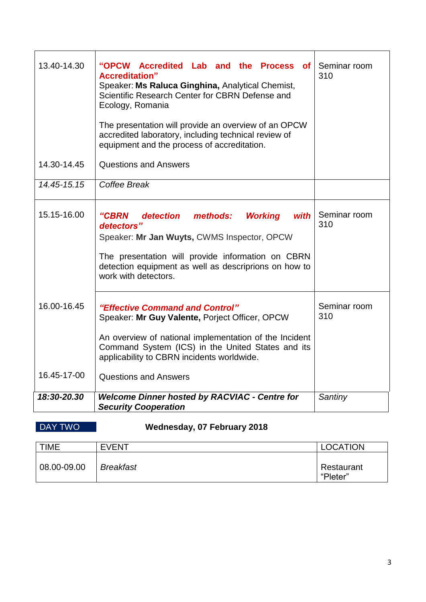| 13.40-14.30                | "OPCW Accredited Lab and the Process of<br><b>Accreditation"</b><br>Speaker: Ms Raluca Ginghina, Analytical Chemist,<br>Scientific Research Center for CBRN Defense and<br>Ecology, Romania<br>The presentation will provide an overview of an OPCW<br>accredited laboratory, including technical review of<br>equipment and the process of accreditation. | Seminar room<br>310 |
|----------------------------|------------------------------------------------------------------------------------------------------------------------------------------------------------------------------------------------------------------------------------------------------------------------------------------------------------------------------------------------------------|---------------------|
| 14.30-14.45                | <b>Questions and Answers</b>                                                                                                                                                                                                                                                                                                                               |                     |
| 14.45-15.15                | Coffee Break                                                                                                                                                                                                                                                                                                                                               |                     |
| 15.15-16.00                | methods:<br><b>Working</b><br>"CBRN<br>detection<br>with<br>detectors"<br>Speaker: Mr Jan Wuyts, CWMS Inspector, OPCW<br>The presentation will provide information on CBRN<br>detection equipment as well as descriprions on how to<br>work with detectors.                                                                                                | Seminar room<br>310 |
| 16.00-16.45<br>16.45-17-00 | "Effective Command and Control"<br>Speaker: Mr Guy Valente, Porject Officer, OPCW<br>An overview of national implementation of the Incident<br>Command System (ICS) in the United States and its<br>applicability to CBRN incidents worldwide.<br><b>Questions and Answers</b>                                                                             | Seminar room<br>310 |
| 18:30-20.30                | <b>Welcome Dinner hosted by RACVIAC - Centre for</b><br><b>Security Cooperation</b>                                                                                                                                                                                                                                                                        | Santiny             |

# DAY TWO **Wednesday, 07 February 2018**

| <b>TIME</b> | <b>EVENT</b>     | <b>LOCATION</b>        |
|-------------|------------------|------------------------|
| 08.00-09.00 | <b>Breakfast</b> | Restaurant<br>"Pleter" |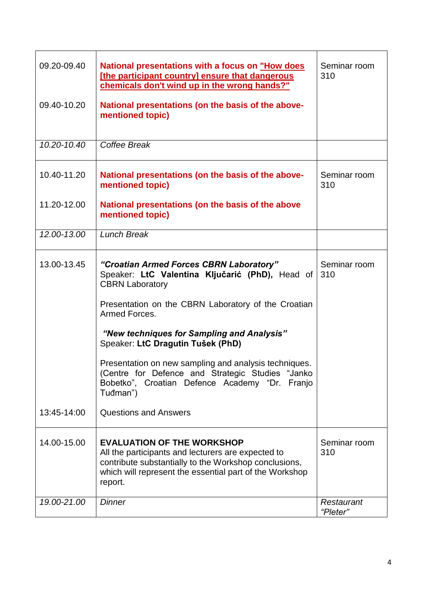| 09.20-09.40 | National presentations with a focus on "How does<br>[the participant country] ensure that dangerous<br>chemicals don't wind up in the wrong hands?"                                                                    | Seminar room<br>310    |
|-------------|------------------------------------------------------------------------------------------------------------------------------------------------------------------------------------------------------------------------|------------------------|
| 09.40-10.20 | National presentations (on the basis of the above-<br>mentioned topic)                                                                                                                                                 |                        |
| 10.20-10.40 | Coffee Break                                                                                                                                                                                                           |                        |
| 10.40-11.20 | National presentations (on the basis of the above-<br>mentioned topic)                                                                                                                                                 | Seminar room<br>310    |
| 11.20-12.00 | National presentations (on the basis of the above<br>mentioned topic)                                                                                                                                                  |                        |
| 12.00-13.00 | <b>Lunch Break</b>                                                                                                                                                                                                     |                        |
| 13.00-13.45 | "Croatian Armed Forces CBRN Laboratory"<br>Speaker: LtC Valentina Ključarić (PhD), Head of<br><b>CBRN Laboratory</b>                                                                                                   | Seminar room<br>310    |
|             | Presentation on the CBRN Laboratory of the Croatian<br>Armed Forces.                                                                                                                                                   |                        |
|             | "New techniques for Sampling and Analysis"<br>Speaker: LtC Dragutin Tušek (PhD)                                                                                                                                        |                        |
|             | Presentation on new sampling and analysis techniques.<br>(Centre for Defence and Strategic Studies "Janko<br>Bobetko", Croatian Defence Academy "Dr.<br>Franjo<br>Tuđman")                                             |                        |
| 13:45-14:00 | <b>Questions and Answers</b>                                                                                                                                                                                           |                        |
| 14.00-15.00 | <b>EVALUATION OF THE WORKSHOP</b><br>All the participants and lecturers are expected to<br>contribute substantially to the Workshop conclusions,<br>which will represent the essential part of the Workshop<br>report. | Seminar room<br>310    |
| 19.00-21.00 | <b>Dinner</b>                                                                                                                                                                                                          | Restaurant<br>"Pleter" |